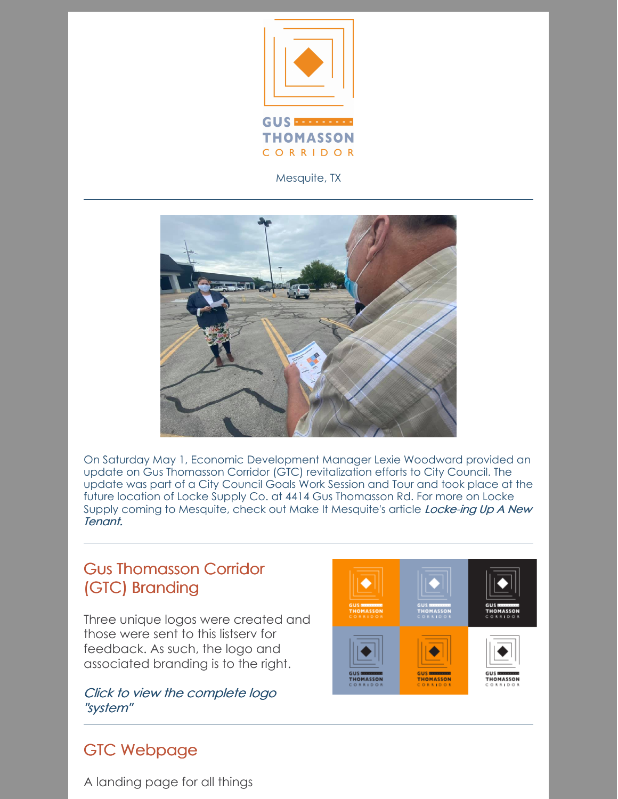

Mesquite, TX



On Saturday May 1, Economic Development Manager Lexie Woodward provided an update on Gus Thomasson Corridor (GTC) revitalization efforts to City Council. The update was part of a City Council Goals Work Session and Tour and took place at the future location of Locke Supply Co. at 4414 Gus Thomasson Rd. For more on Locke Supply coming to Mesquite, check out Make It [Mesquite's](https://mesquiteecodev.com/news/locke-ing-up-a-new-tenant) article Locke-ing Up A New Tenant.

### Gus Thomasson Corridor (GTC) Branding

Three unique logos were created and those were sent to this listserv for feedback. As such, the logo and associated branding is to the right.

Click to view the [complete](https://mesquiteecodev.com/assets/downloads/gtc_logo_one_sheet.pdf) logo "system"

# GTC Webpage



A landing page for all things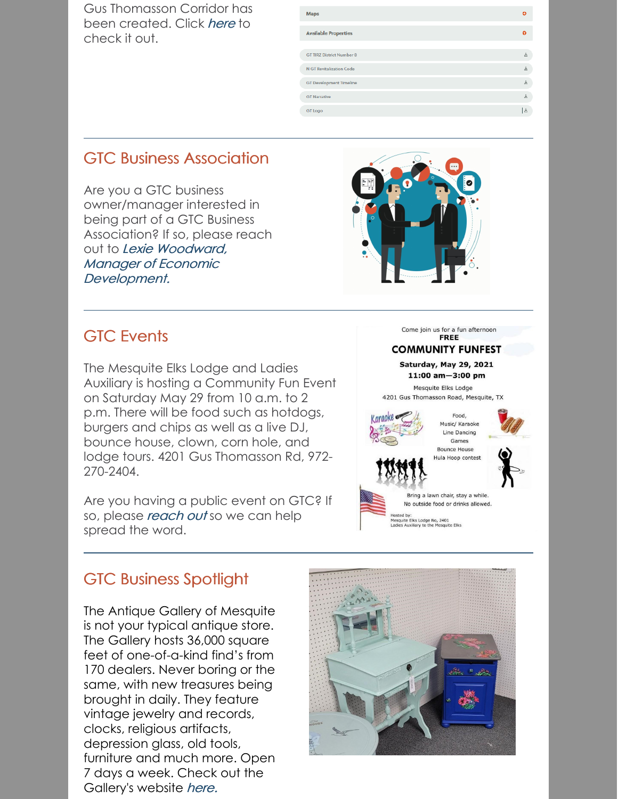Gus Thomasson Corridor has been created. Click [here](https://mesquiteecodev.com/locate/gus-thomasson-corridor) to check it out.

| <b>Maps</b>                      | ദ                    |
|----------------------------------|----------------------|
| <b>Available Properties</b>      | ຨ                    |
| <b>GT TIRZ District Number 8</b> | 玉                    |
| N GT Revitalization Code         | 击                    |
| <b>GT Development Timeline</b>   | 击                    |
| <b>GT Narrative</b>              | 击                    |
| <b>GT</b> Logo                   | $\frac{1}{\sqrt{2}}$ |

### GTC Business Association

Are you a GTC business owner/manager interested in being part of a GTC Business Association? If so, please reach out to Lexie Woodward, Manager of Economic [Development.](mailto:lwoodward@cityofmesquite.com)



#### GTC Events

The Mesquite Elks Lodge and Ladies Auxiliary is hosting a Community Fun Event on Saturday May 29 from 10 a.m. to 2 p.m. There will be food such as hotdogs, burgers and chips as well as a live DJ, bounce house, clown, corn hole, and lodge tours. 4201 Gus Thomasson Rd, 972- 270-2404.

Are you having a public event on GTC? If so, please [reach](mailto:lwoodward@cityofmesquite.com) out so we can help spread the word.





Bring a lawn chair, stay a while No outside food or drinks allowed

Hosted by:<br>Mesquite Elks Lodge No, 2401<br>Ladies Auxiliary to the Mesquit

# GTC Business Spotlight

The Antique Gallery of Mesquite is not your typical antique store. The Gallery hosts 36,000 square feet of one-of-a-kind find's from 170 dealers. Never boring or the same, with new treasures being brought in daily. They feature vintage jewelry and records, clocks, religious artifacts, depression glass, old tools, furniture and much more. Open 7 days a week. Check out the Gallery's website [here.](https://antiquegallerymesquite.com/)